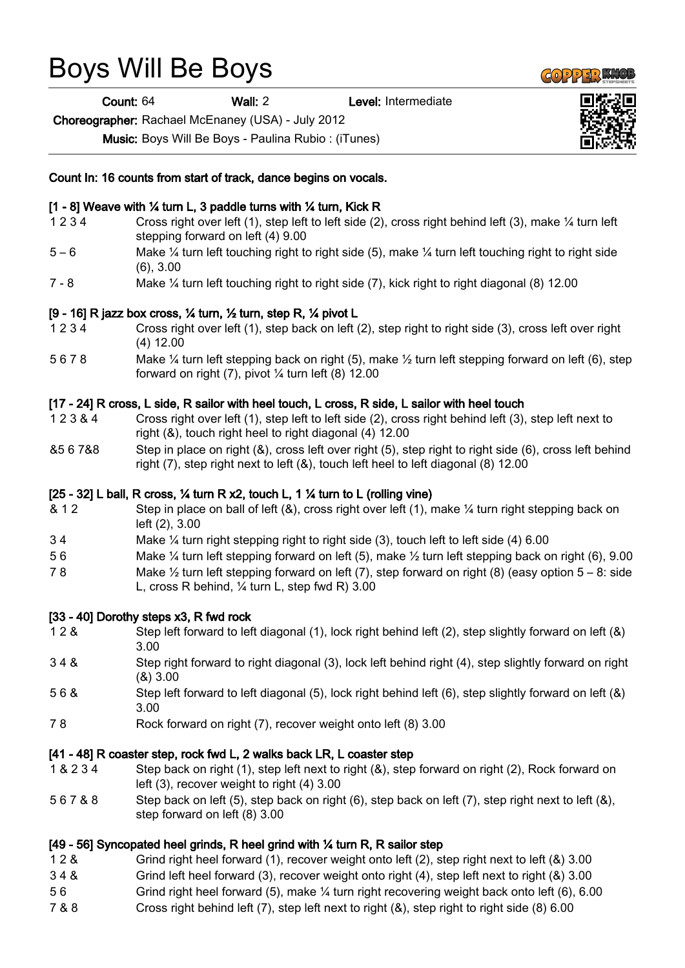# Boys Will Be Boys

Count: 64 Wall: 2 Level: Intermediate

Choreographer: Rachael McEnaney (USA) - July 2012

Music: Boys Will Be Boys - Paulina Rubio : (iTunes)

Count In: 16 counts from start of track, dance begins on vocals.

## [1 - 8] Weave with ¼ turn L, 3 paddle turns with ¼ turn, Kick R

- 1 2 3 4 Cross right over left (1), step left to left side (2), cross right behind left (3), make ¼ turn left stepping forward on left (4) 9.00
- 5 6 Make ¼ turn left touching right to right side (5), make ¼ turn left touching right to right side (6), 3.00
- 7 8 Make ¼ turn left touching right to right side (7), kick right to right diagonal (8) 12.00

## [9 - 16] R jazz box cross, ¼ turn, ½ turn, step R, ¼ pivot L

- 1 2 3 4 Cross right over left (1), step back on left (2), step right to right side (3), cross left over right (4) 12.00
- 5 6 7 8 Make ¼ turn left stepping back on right (5), make ½ turn left stepping forward on left (6), step forward on right  $(7)$ , pivot  $\frac{1}{4}$  turn left  $(8)$  12.00

## [17 - 24] R cross, L side, R sailor with heel touch, L cross, R side, L sailor with heel touch

- 1 2 3 & 4 Cross right over left (1), step left to left side (2), cross right behind left (3), step left next to right (&), touch right heel to right diagonal (4) 12.00
- &5 6 7&8 Step in place on right (&), cross left over right (5), step right to right side (6), cross left behind right (7), step right next to left (&), touch left heel to left diagonal (8) 12.00

#### [25 - 32] L ball, R cross,  $\frac{1}{4}$  turn R x2, touch L, 1  $\frac{1}{4}$  turn to L (rolling vine)

- & 1 2 Step in place on ball of left (&), cross right over left (1), make ¼ turn right stepping back on left (2), 3.00
- 3 4 Make ¼ turn right stepping right to right side (3), touch left to left side (4) 6.00
- 5 6 Make ¼ turn left stepping forward on left (5), make ½ turn left stepping back on right (6), 9.00
- 7 8 Make  $\frac{1}{2}$  turn left stepping forward on left (7), step forward on right (8) (easy option  $5 8$ : side L, cross R behind, ¼ turn L, step fwd R) 3.00

#### [33 - 40] Dorothy steps x3, R fwd rock

- 1 2 & Step left forward to left diagonal (1), lock right behind left (2), step slightly forward on left (&) 3.00
- 3 4 & Step right forward to right diagonal (3), lock left behind right (4), step slightly forward on right (&) 3.00
- 5 6 & Step left forward to left diagonal (5), lock right behind left (6), step slightly forward on left (&) 3.00
- 7 8 Rock forward on right (7), recover weight onto left (8) 3.00

#### [41 - 48] R coaster step, rock fwd L, 2 walks back LR, L coaster step

- 1 & 2 3 4 Step back on right (1), step left next to right (&), step forward on right (2), Rock forward on left (3), recover weight to right (4) 3.00
- 5 6 7 & 8 Step back on left (5), step back on right (6), step back on left (7), step right next to left (&), step forward on left (8) 3.00

# [49 - 56] Syncopated heel grinds, R heel grind with ¼ turn R, R sailor step

- 1 2 & Grind right heel forward (1), recover weight onto left (2), step right next to left (&) 3.00
- 3 4 & Grind left heel forward (3), recover weight onto right (4), step left next to right (&) 3.00
- 5 6 Grind right heel forward (5), make ¼ turn right recovering weight back onto left (6), 6.00
- 7 & 8 Cross right behind left (7), step left next to right (&), step right to right side (8) 6.00